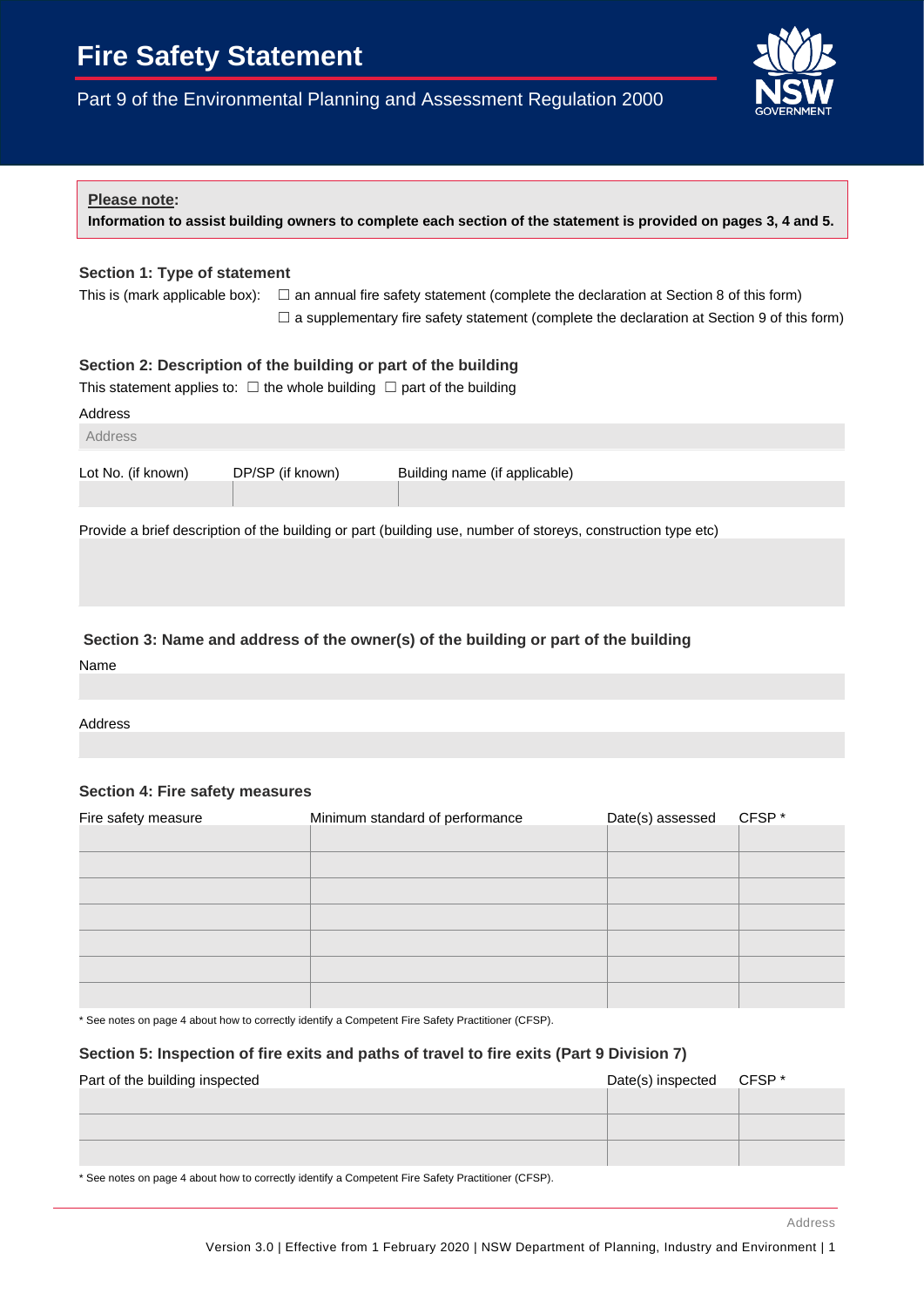# **Fire Safety Statement**

Part 9 of the Environmental Planning and Assessment Regulation 2000



# **Please note: Information to assist building owners to complete each section of the statement is provided on pages 3, 4 and 5. Section 1: Type of statement**  This is (mark applicable box):  $\Box$  an annual fire safety statement (complete the declaration at Section 8 of this form)  $\Box$  a supplementary fire safety statement (complete the declaration at Section 9 of this form) **Section 2: Description of the building or part of the building** This statement applies to:  $\Box$  the whole building  $\Box$  part of the building Address Address Lot No. (if known) DP/SP (if known) Building name (if applicable) Provide a brief description of the building or part (building use, number of storeys, construction type etc) **Section 3: Name and address of the owner(s) of the building or part of the building**

Name

Address

# **Section 4: Fire safety measures**

| Fire safety measure | Minimum standard of performance | Date(s) assessed | CFSP* |
|---------------------|---------------------------------|------------------|-------|
|                     |                                 |                  |       |
|                     |                                 |                  |       |
|                     |                                 |                  |       |
|                     |                                 |                  |       |
|                     |                                 |                  |       |
|                     |                                 |                  |       |
|                     |                                 |                  |       |

\* See notes on page 4 about how to correctly identify a Competent Fire Safety Practitioner (CFSP).

# **Section 5: Inspection of fire exits and paths of travel to fire exits (Part 9 Division 7)**

| Part of the building inspected | Date(s) inspected | CFSP * |
|--------------------------------|-------------------|--------|
|                                |                   |        |
|                                |                   |        |
|                                |                   |        |

\* See notes on page 4 about how to correctly identify a Competent Fire Safety Practitioner (CFSP).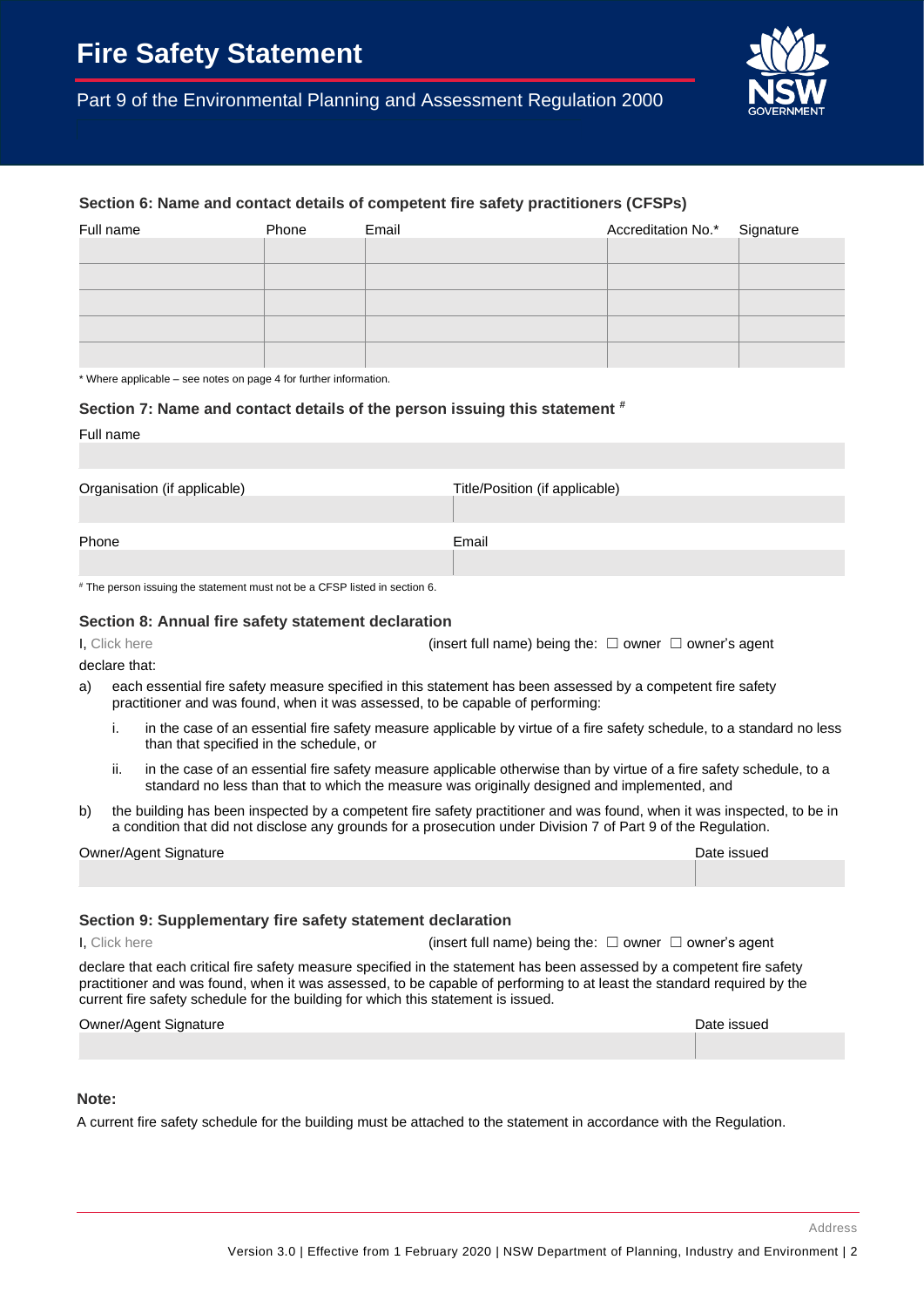Part 9 of the Environmental Planning and Assessment Regulation 2000



# **Section 6: Name and contact details of competent fire safety practitioners (CFSPs)**

| Full name | Phone | Email | Accreditation No.* Signature |  |
|-----------|-------|-------|------------------------------|--|
|           |       |       |                              |  |
|           |       |       |                              |  |
|           |       |       |                              |  |
|           |       |       |                              |  |
|           |       |       |                              |  |

\* Where applicable – see notes on page 4 for further information.

#### **Section 7: Name and contact details of the person issuing this statement #**

| Full name                    |                                |
|------------------------------|--------------------------------|
|                              |                                |
|                              |                                |
| Organisation (if applicable) | Title/Position (if applicable) |
|                              |                                |
| Phone                        | Email                          |
|                              |                                |
|                              |                                |

# The person issuing the statement must not be a CFSP listed in section 6.

#### **Section 8: Annual fire safety statement declaration**

I, Click here (insert full name) being the: □ owner □ owner's agent

declare that:

- a) each essential fire safety measure specified in this statement has been assessed by a competent fire safety practitioner and was found, when it was assessed, to be capable of performing:
	- i. in the case of an essential fire safety measure applicable by virtue of a fire safety schedule, to a standard no less than that specified in the schedule, or
	- ii. in the case of an essential fire safety measure applicable otherwise than by virtue of a fire safety schedule, to a standard no less than that to which the measure was originally designed and implemented, and
- b) the building has been inspected by a competent fire safety practitioner and was found, when it was inspected, to be in a condition that did not disclose any grounds for a prosecution under Division 7 of Part 9 of the Regulation.

| Owner/Agent Signature | Date issued |
|-----------------------|-------------|
|                       |             |

#### **Section 9: Supplementary fire safety statement declaration**

I, Click here **insert of the contract of the contract of the contract of the contract of the contract of the contract of the contract of the contract of the contract of the contract of the contract of the contract of the** 

declare that each critical fire safety measure specified in the statement has been assessed by a competent fire safety practitioner and was found, when it was assessed, to be capable of performing to at least the standard required by the current fire safety schedule for the building for which this statement is issued.

Owner/Agent Signature and Communication of the Communication of the Date issued

#### **Note:**

A current fire safety schedule for the building must be attached to the statement in accordance with the Regulation.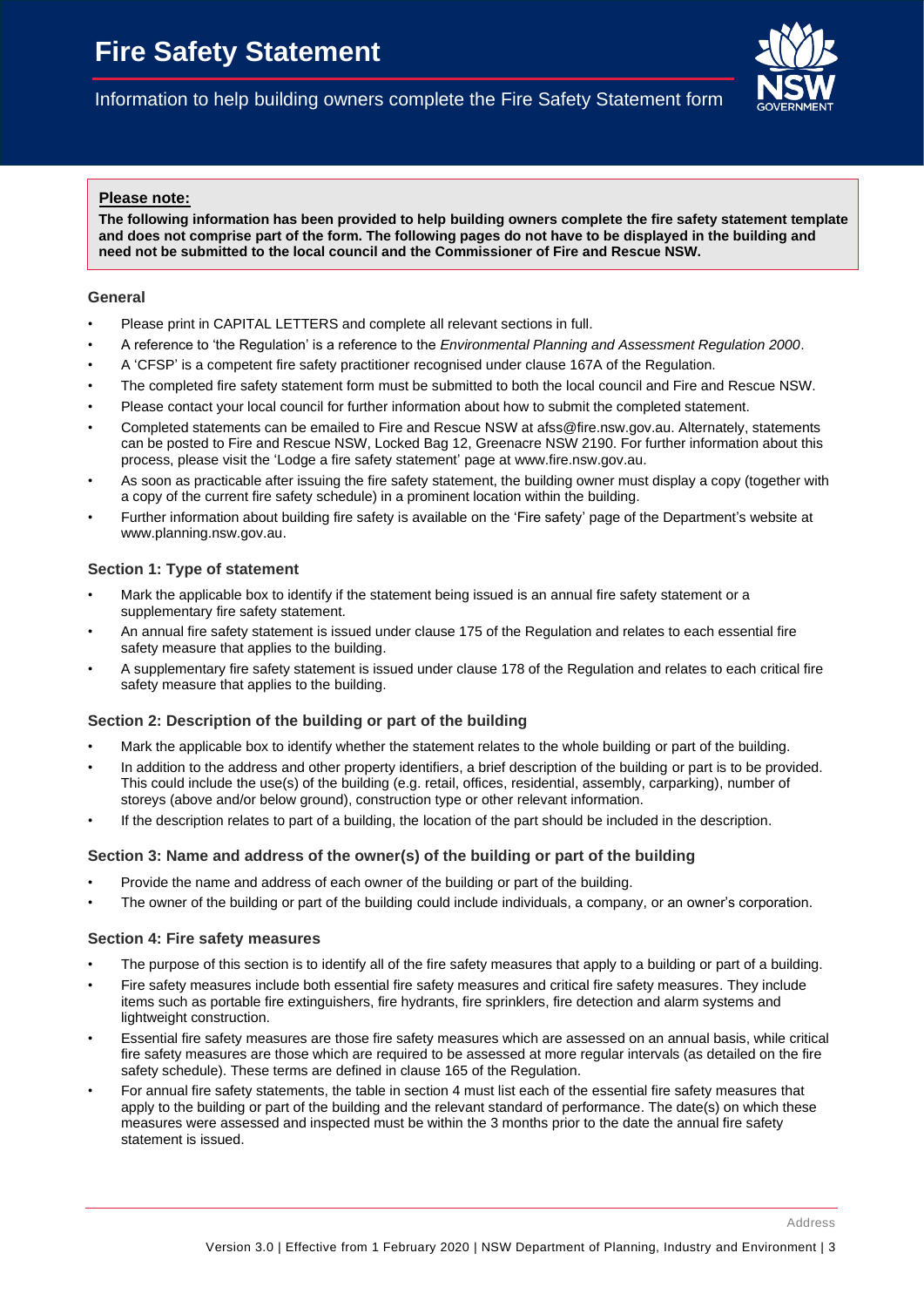Information to help building owners complete the Fire Safety Statement form

# **Please note:**

**The following information has been provided to help building owners complete the fire safety statement template and does not comprise part of the form. The following pages do not have to be displayed in the building and need not be submitted to the local council and the Commissioner of Fire and Rescue NSW.**

#### **General**

- Please print in CAPITAL LETTERS and complete all relevant sections in full.
- A reference to 'the Regulation' is a reference to the *Environmental Planning and Assessment Regulation 2000*.
- A 'CFSP' is a competent fire safety practitioner recognised under clause 167A of the Regulation.
- The completed fire safety statement form must be submitted to both the local council and Fire and Rescue NSW.
- Please contact your local council for further information about how to submit the completed statement.
- Completed statements can be emailed to Fire and Rescue NSW at [afss@fire.nsw.gov.au.](mailto:afss@fire.nsw.gov.au) Alternately, statements can be posted to Fire and Rescue NSW, Locked Bag 12, Greenacre NSW 2190. For further information about this process, please visit the 'Lodge a fire safety statement' page a[t www.fire.nsw.gov.au.](http://www.fire.nsw.gov.au/)
- As soon as practicable after issuing the fire safety statement, the building owner must display a copy (together with a copy of the current fire safety schedule) in a prominent location within the building.
- Further information about building fire safety is available on the 'Fire safety' page of the Department's website at www.planning.nsw.gov.au.

#### **Section 1: Type of statement**

- Mark the applicable box to identify if the statement being issued is an annual fire safety statement or a supplementary fire safety statement.
- An annual fire safety statement is issued under clause 175 of the Regulation and relates to each essential fire safety measure that applies to the building.
- A supplementary fire safety statement is issued under clause 178 of the Regulation and relates to each critical fire safety measure that applies to the building.

# **Section 2: Description of the building or part of the building**

- Mark the applicable box to identify whether the statement relates to the whole building or part of the building.
- In addition to the address and other property identifiers, a brief description of the building or part is to be provided. This could include the use(s) of the building (e.g. retail, offices, residential, assembly, carparking), number of storeys (above and/or below ground), construction type or other relevant information.
- If the description relates to part of a building, the location of the part should be included in the description.

# **Section 3: Name and address of the owner(s) of the building or part of the building**

- Provide the name and address of each owner of the building or part of the building.
- The owner of the building or part of the building could include individuals, a company, or an owner's corporation.

#### **Section 4: Fire safety measures**

- The purpose of this section is to identify all of the fire safety measures that apply to a building or part of a building.
- Fire safety measures include both essential fire safety measures and critical fire safety measures. They include items such as portable fire extinguishers, fire hydrants, fire sprinklers, fire detection and alarm systems and lightweight construction.
- Essential fire safety measures are those fire safety measures which are assessed on an annual basis, while critical fire safety measures are those which are required to be assessed at more regular intervals (as detailed on the fire safety schedule). These terms are defined in clause 165 of the Regulation.
- For annual fire safety statements, the table in section 4 must list each of the essential fire safety measures that apply to the building or part of the building and the relevant standard of performance. The date(s) on which these measures were assessed and inspected must be within the 3 months prior to the date the annual fire safety statement is issued.

Address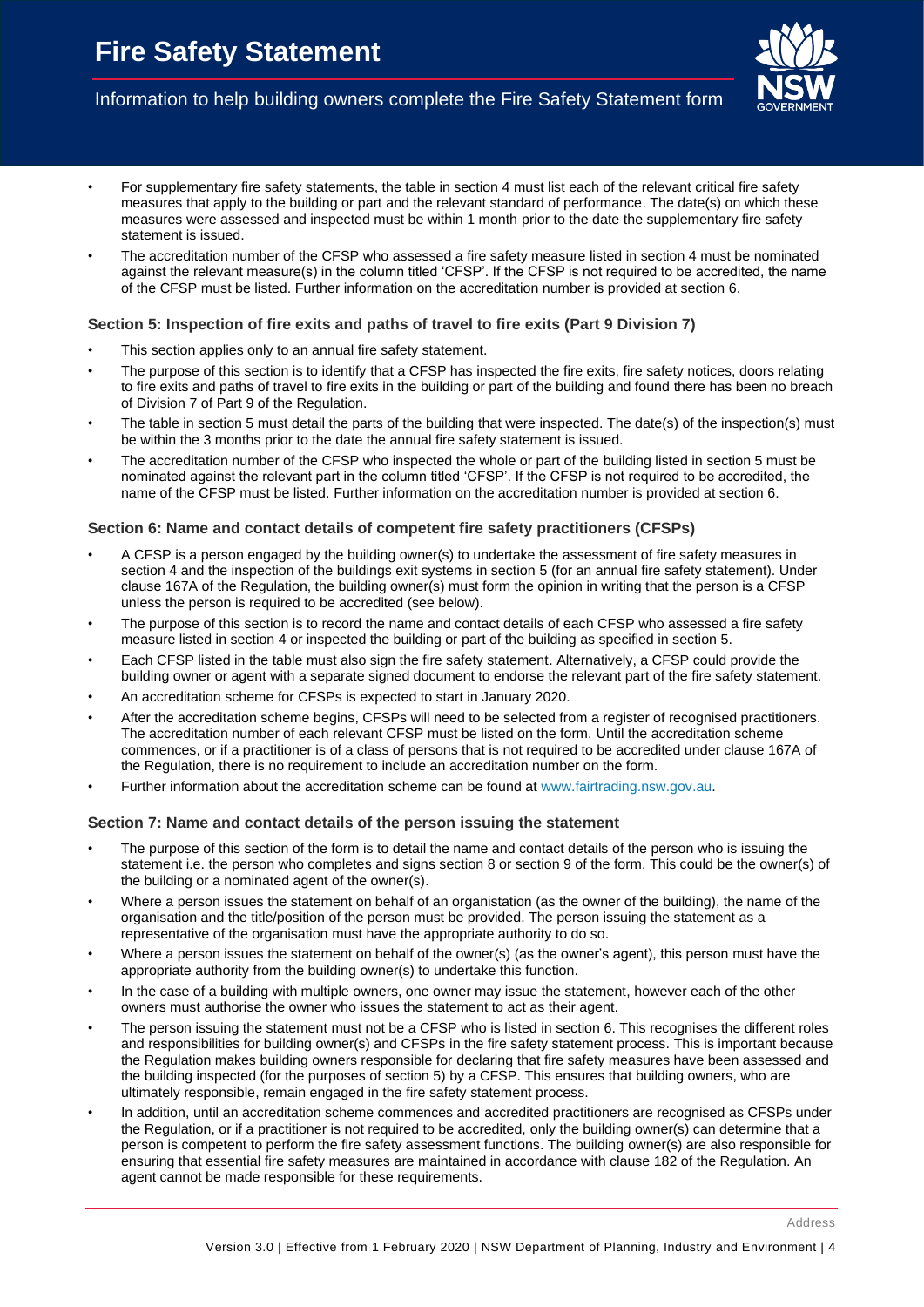

# Information to help building owners complete the Fire Safety Statement form

- For supplementary fire safety statements, the table in section 4 must list each of the relevant critical fire safety measures that apply to the building or part and the relevant standard of performance. The date(s) on which these measures were assessed and inspected must be within 1 month prior to the date the supplementary fire safety statement is issued.
- The accreditation number of the CFSP who assessed a fire safety measure listed in section 4 must be nominated against the relevant measure(s) in the column titled 'CFSP'. If the CFSP is not required to be accredited, the name of the CFSP must be listed. Further information on the accreditation number is provided at section 6.

#### **Section 5: Inspection of fire exits and paths of travel to fire exits (Part 9 Division 7)**

- This section applies only to an annual fire safety statement.
- The purpose of this section is to identify that a CFSP has inspected the fire exits, fire safety notices, doors relating to fire exits and paths of travel to fire exits in the building or part of the building and found there has been no breach of Division 7 of Part 9 of the Regulation.
- The table in section 5 must detail the parts of the building that were inspected. The date(s) of the inspection(s) must be within the 3 months prior to the date the annual fire safety statement is issued.
- The accreditation number of the CFSP who inspected the whole or part of the building listed in section 5 must be nominated against the relevant part in the column titled 'CFSP'. If the CFSP is not required to be accredited, the name of the CFSP must be listed. Further information on the accreditation number is provided at section 6.

#### **Section 6: Name and contact details of competent fire safety practitioners (CFSPs)**

- A CFSP is a person engaged by the building owner(s) to undertake the assessment of fire safety measures in section 4 and the inspection of the buildings exit systems in section 5 (for an annual fire safety statement). Under clause 167A of the Regulation, the building owner(s) must form the opinion in writing that the person is a CFSP unless the person is required to be accredited (see below).
- The purpose of this section is to record the name and contact details of each CFSP who assessed a fire safety measure listed in section 4 or inspected the building or part of the building as specified in section 5.
- Each CFSP listed in the table must also sign the fire safety statement. Alternatively, a CFSP could provide the building owner or agent with a separate signed document to endorse the relevant part of the fire safety statement.
- An accreditation scheme for CFSPs is expected to start in January 2020.
- After the accreditation scheme begins, CFSPs will need to be selected from a register of recognised practitioners. The accreditation number of each relevant CFSP must be listed on the form. Until the accreditation scheme commences, or if a practitioner is of a class of persons that is not required to be accredited under clause 167A of the Regulation, there is no requirement to include an accreditation number on the form.
- Further information about the accreditation scheme can be found a[t www.fairtrading.nsw.gov.au.](http://www.fairtrading.nsw.gov.au/)

#### **Section 7: Name and contact details of the person issuing the statement**

- The purpose of this section of the form is to detail the name and contact details of the person who is issuing the statement i.e. the person who completes and signs section 8 or section 9 of the form. This could be the owner(s) of the building or a nominated agent of the owner(s).
- Where a person issues the statement on behalf of an organistation (as the owner of the building), the name of the organisation and the title/position of the person must be provided. The person issuing the statement as a representative of the organisation must have the appropriate authority to do so.
- Where a person issues the statement on behalf of the owner(s) (as the owner's agent), this person must have the appropriate authority from the building owner(s) to undertake this function.
- In the case of a building with multiple owners, one owner may issue the statement, however each of the other owners must authorise the owner who issues the statement to act as their agent.
- The person issuing the statement must not be a CFSP who is listed in section 6. This recognises the different roles and responsibilities for building owner(s) and CFSPs in the fire safety statement process. This is important because the Regulation makes building owners responsible for declaring that fire safety measures have been assessed and the building inspected (for the purposes of section 5) by a CFSP. This ensures that building owners, who are ultimately responsible, remain engaged in the fire safety statement process.
- In addition, until an accreditation scheme commences and accredited practitioners are recognised as CFSPs under the Regulation, or if a practitioner is not required to be accredited, only the building owner(s) can determine that a person is competent to perform the fire safety assessment functions. The building owner(s) are also responsible for ensuring that essential fire safety measures are maintained in accordance with clause 182 of the Regulation. An agent cannot be made responsible for these requirements.

Address